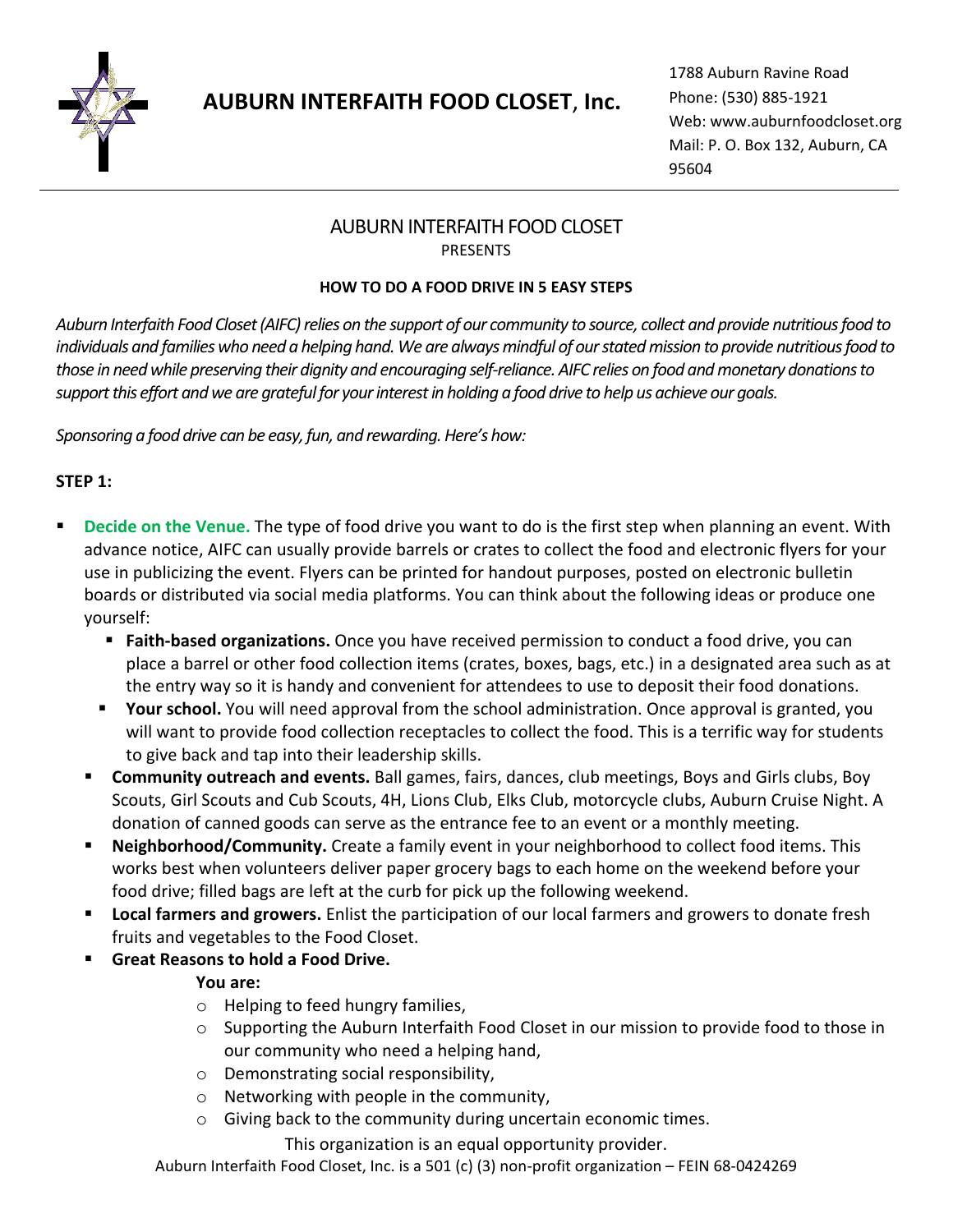

# **AUBURN INTERFAITH FOOD CLOSET**, **Inc.**

1788 Auburn Ravine Road Phone: (530) 885-1921 Web: [www.auburnfoodcloset.org](http://www.auburnfoodcloset.org/) Mail: P. O. Box 132, Auburn, CA 95604

# AUBURN INTERFAITH FOOD CLOSET PRESENTS

#### **HOW TO DO A FOOD DRIVE IN 5 EASY STEPS**

*Auburn Interfaith Food Closet (AIFC) relies on the support of our community to source, collect and provide nutritious food to individuals and families who need a helping hand. We are always mindful of our stated mission to provide nutritious food to those in need while preserving their dignity and encouraging self-reliance. AIFC relies on food and monetary donations to support this effort and we are grateful for your interest in holding a food drive to help us achieve our goals.*

*Sponsoring a food drive can be easy, fun, and rewarding. Here's how:*

## **STEP 1:**

- **Decide on the Venue.** The type of food drive you want to do is the first step when planning an event. With advance notice, AIFC can usually provide barrels or crates to collect the food and electronic flyers for your use in publicizing the event. Flyers can be printed for handout purposes, posted on electronic bulletin boards or distributed via social media platforms. You can think about the following ideas or produce one yourself:
	- **Example 3 Faith-based organizations.** Once you have received permission to conduct a food drive, you can place a barrel or other food collection items (crates, boxes, bags, etc.) in a designated area such as at the entry way so it is handy and convenient for attendees to use to deposit their food donations.
	- **EXT** Your school. You will need approval from the school administration. Once approval is granted, you will want to provide food collection receptacles to collect the food. This is a terrific way for students to give back and tap into their leadership skills.
	- **EXP** Community outreach and events. Ball games, fairs, dances, club meetings, Boys and Girls clubs, Boy Scouts, Girl Scouts and Cub Scouts, 4H, Lions Club, Elks Club, motorcycle clubs, Auburn Cruise Night. A donation of canned goods can serve as the entrance fee to an event or a monthly meeting.
	- Neighborhood/Community. Create a family event in your neighborhood to collect food items. This works best when volunteers deliver paper grocery bags to each home on the weekend before your food drive; filled bags are left at the curb for pick up the following weekend.
	- Local farmers and growers. Enlist the participation of our local farmers and growers to donate fresh fruits and vegetables to the Food Closet.
	- **Great Reasons to hold a Food Drive.**

## **You are:**

- o Helping to feed hungry families,
- $\circ$  Supporting the Auburn Interfaith Food Closet in our mission to provide food to those in our community who need a helping hand,
- o Demonstrating social responsibility,
- o Networking with people in the community,
- o Giving back to the community during uncertain economic times.

This organization is an equal opportunity provider.

Auburn Interfaith Food Closet, Inc. is a 501 (c) (3) non-profit organization – FEIN 68-0424269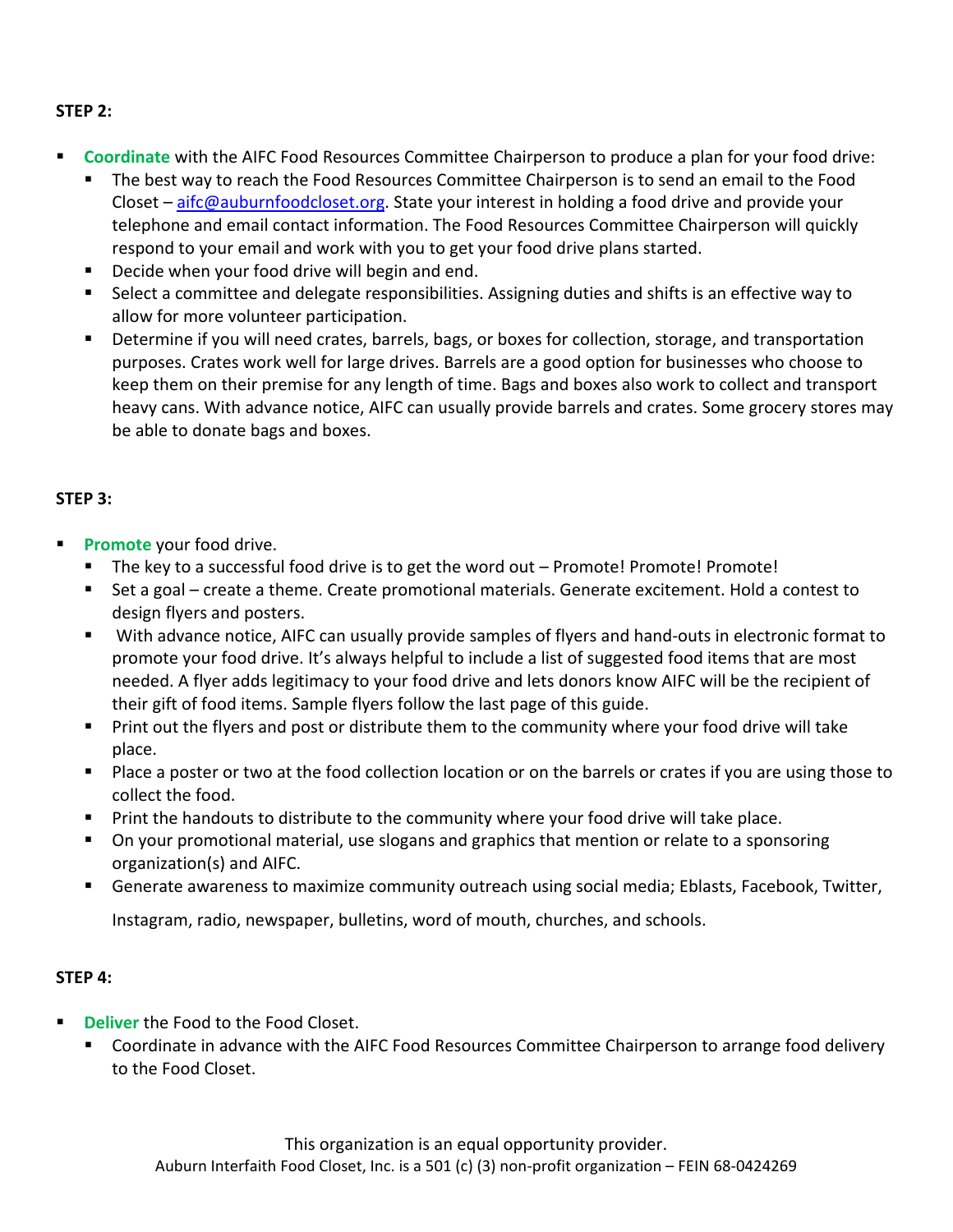## **STEP 2:**

- **Coordinate** with the AIFC Food Resources Committee Chairperson to produce a plan for your food drive:
	- The best way to reach the Food Resources Committee Chairperson is to send an email to the Food Closet - [aifc@auburnfoodcloset.org.](mailto:aifc@auburnfoodcloset.org) State your interest in holding a food drive and provide your telephone and email contact information. The Food Resources Committee Chairperson will quickly respond to your email and work with you to get your food drive plans started.
	- Decide when your food drive will begin and end.
	- Select a committee and delegate responsibilities. Assigning duties and shifts is an effective way to allow for more volunteer participation.
	- **E** Determine if you will need crates, barrels, bags, or boxes for collection, storage, and transportation purposes. Crates work well for large drives. Barrels are a good option for businesses who choose to keep them on their premise for any length of time. Bags and boxes also work to collect and transport heavy cans. With advance notice, AIFC can usually provide barrels and crates. Some grocery stores may be able to donate bags and boxes.

## **STEP 3:**

- **Promote** your food drive.
	- The key to a successful food drive is to get the word out Promote! Promote! Promote!
	- Set a goal create a theme. Create promotional materials. Generate excitement. Hold a contest to design flyers and posters.
	- With advance notice, AIFC can usually provide samples of flyers and hand-outs in electronic format to promote your food drive. It's always helpful to include a list of suggested food items that are most needed. A flyer adds legitimacy to your food drive and lets donors know AIFC will be the recipient of their gift of food items. Sample flyers follow the last page of this guide.
	- Print out the flyers and post or distribute them to the community where your food drive will take place.
	- Place a poster or two at the food collection location or on the barrels or crates if you are using those to collect the food.
	- Print the handouts to distribute to the community where your food drive will take place.
	- On your promotional material, use slogans and graphics that mention or relate to a sponsoring organization(s) and AIFC.
	- Generate awareness to maximize community outreach using social media; Eblasts, Facebook, Twitter,

Instagram, radio, newspaper, bulletins, word of mouth, churches, and schools.

## **STEP 4:**

- **Deliver** the Food to the Food Closet.
	- Coordinate in advance with the AIFC Food Resources Committee Chairperson to arrange food delivery to the Food Closet.